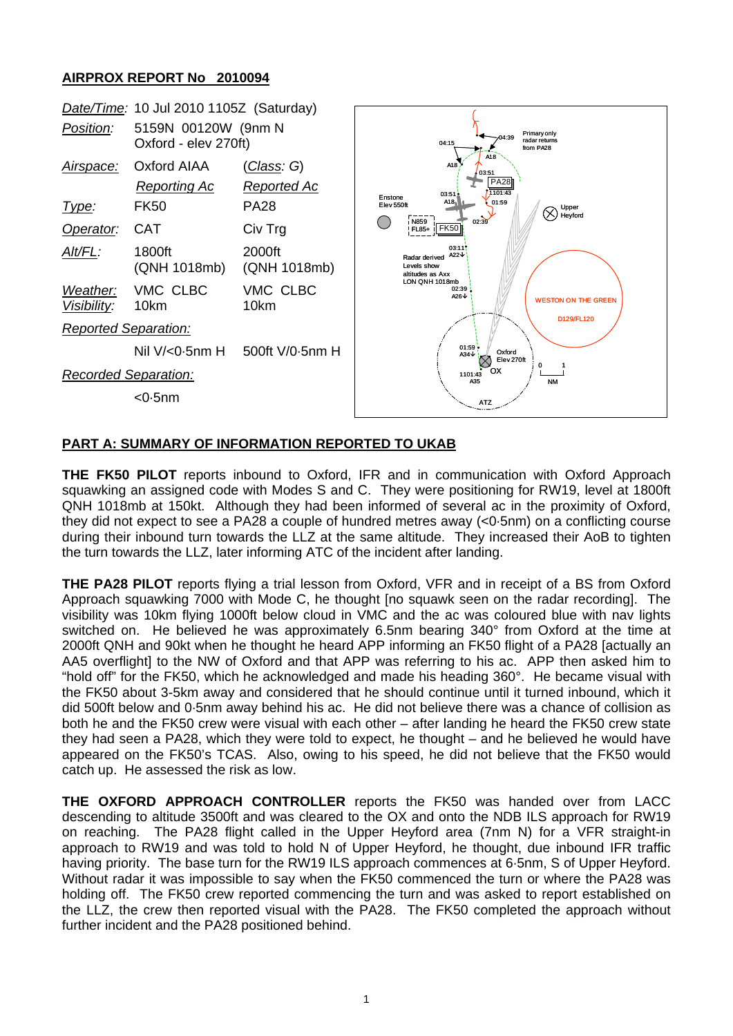## **AIRPROX REPORT No 2010094**



## **PART A: SUMMARY OF INFORMATION REPORTED TO UKAB**

**THE FK50 PILOT** reports inbound to Oxford, IFR and in communication with Oxford Approach squawking an assigned code with Modes S and C. They were positioning for RW19, level at 1800ft QNH 1018mb at 150kt. Although they had been informed of several ac in the proximity of Oxford, they did not expect to see a PA28 a couple of hundred metres away (<0·5nm) on a conflicting course during their inbound turn towards the LLZ at the same altitude. They increased their AoB to tighten the turn towards the LLZ, later informing ATC of the incident after landing.

**THE PA28 PILOT** reports flying a trial lesson from Oxford, VFR and in receipt of a BS from Oxford Approach squawking 7000 with Mode C, he thought [no squawk seen on the radar recording]. The visibility was 10km flying 1000ft below cloud in VMC and the ac was coloured blue with nav lights switched on. He believed he was approximately 6.5nm bearing 340° from Oxford at the time at 2000ft QNH and 90kt when he thought he heard APP informing an FK50 flight of a PA28 [actually an AA5 overflight] to the NW of Oxford and that APP was referring to his ac. APP then asked him to "hold off" for the FK50, which he acknowledged and made his heading 360°. He became visual with the FK50 about 3-5km away and considered that he should continue until it turned inbound, which it did 500ft below and 0·5nm away behind his ac. He did not believe there was a chance of collision as both he and the FK50 crew were visual with each other – after landing he heard the FK50 crew state they had seen a PA28, which they were told to expect, he thought – and he believed he would have appeared on the FK50's TCAS. Also, owing to his speed, he did not believe that the FK50 would catch up. He assessed the risk as low.

**THE OXFORD APPROACH CONTROLLER** reports the FK50 was handed over from LACC descending to altitude 3500ft and was cleared to the OX and onto the NDB ILS approach for RW19 on reaching. The PA28 flight called in the Upper Heyford area (7nm N) for a VFR straight-in approach to RW19 and was told to hold N of Upper Heyford, he thought, due inbound IFR traffic having priority. The base turn for the RW19 ILS approach commences at 6·5nm, S of Upper Heyford. Without radar it was impossible to say when the FK50 commenced the turn or where the PA28 was holding off. The FK50 crew reported commencing the turn and was asked to report established on the LLZ, the crew then reported visual with the PA28. The FK50 completed the approach without further incident and the PA28 positioned behind.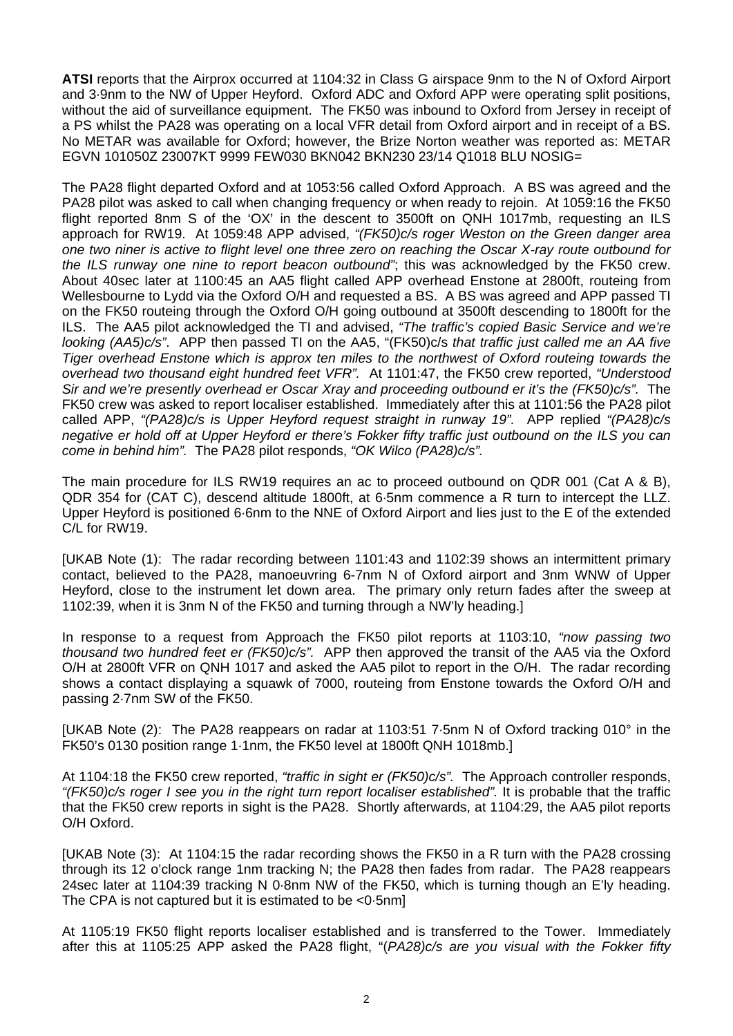**ATSI** reports that the Airprox occurred at 1104:32 in Class G airspace 9nm to the N of Oxford Airport and 3·9nm to the NW of Upper Heyford. Oxford ADC and Oxford APP were operating split positions, without the aid of surveillance equipment. The FK50 was inbound to Oxford from Jersey in receipt of a PS whilst the PA28 was operating on a local VFR detail from Oxford airport and in receipt of a BS. No METAR was available for Oxford; however, the Brize Norton weather was reported as: METAR EGVN 101050Z 23007KT 9999 FEW030 BKN042 BKN230 23/14 Q1018 BLU NOSIG=

The PA28 flight departed Oxford and at 1053:56 called Oxford Approach. A BS was agreed and the PA28 pilot was asked to call when changing frequency or when ready to rejoin. At 1059:16 the FK50 flight reported 8nm S of the 'OX' in the descent to 3500ft on QNH 1017mb, requesting an ILS approach for RW19. At 1059:48 APP advised, *"(FK50)c/s roger Weston on the Green danger area one two niner is active to flight level one three zero on reaching the Oscar X-ray route outbound for the ILS runway one nine to report beacon outbound"*; this was acknowledged by the FK50 crew. About 40sec later at 1100:45 an AA5 flight called APP overhead Enstone at 2800ft, routeing from Wellesbourne to Lydd via the Oxford O/H and requested a BS. A BS was agreed and APP passed TI on the FK50 routeing through the Oxford O/H going outbound at 3500ft descending to 1800ft for the ILS. The AA5 pilot acknowledged the TI and advised, *"The traffic's copied Basic Service and we're looking (AA5)c/s"*. APP then passed TI on the AA5, "(FK50)c/s *that traffic just called me an AA five Tiger overhead Enstone which is approx ten miles to the northwest of Oxford routeing towards the overhead two thousand eight hundred feet VFR".* At 1101:47, the FK50 crew reported, *"Understood Sir and we're presently overhead er Oscar Xray and proceeding outbound er it's the (FK50)c/s".* The FK50 crew was asked to report localiser established. Immediately after this at 1101:56 the PA28 pilot called APP, *"(PA28)c/s is Upper Heyford request straight in runway 19".* APP replied *"(PA28)c/s negative er hold off at Upper Heyford er there's Fokker fifty traffic just outbound on the ILS you can come in behind him".* The PA28 pilot responds, *"OK Wilco (PA28)c/s".*

The main procedure for ILS RW19 requires an ac to proceed outbound on QDR 001 (Cat A & B), QDR 354 for (CAT C), descend altitude 1800ft, at 6·5nm commence a R turn to intercept the LLZ. Upper Heyford is positioned 6·6nm to the NNE of Oxford Airport and lies just to the E of the extended C/L for RW19.

[UKAB Note (1): The radar recording between 1101:43 and 1102:39 shows an intermittent primary contact, believed to the PA28, manoeuvring 6-7nm N of Oxford airport and 3nm WNW of Upper Heyford, close to the instrument let down area. The primary only return fades after the sweep at 1102:39, when it is 3nm N of the FK50 and turning through a NW'ly heading.]

In response to a request from Approach the FK50 pilot reports at 1103:10, *"now passing two thousand two hundred feet er (FK50)c/s".* APP then approved the transit of the AA5 via the Oxford O/H at 2800ft VFR on QNH 1017 and asked the AA5 pilot to report in the O/H. The radar recording shows a contact displaying a squawk of 7000, routeing from Enstone towards the Oxford O/H and passing 2·7nm SW of the FK50.

[UKAB Note (2): The PA28 reappears on radar at 1103:51 7·5nm N of Oxford tracking 010° in the FK50's 0130 position range 1·1nm, the FK50 level at 1800ft QNH 1018mb.]

At 1104:18 the FK50 crew reported, *"traffic in sight er (FK50)c/s".* The Approach controller responds, *"(FK50)c/s roger I see you in the right turn report localiser established".* It is probable that the traffic that the FK50 crew reports in sight is the PA28.Shortly afterwards, at 1104:29, the AA5 pilot reports O/H Oxford.

[UKAB Note (3): At 1104:15 the radar recording shows the FK50 in a R turn with the PA28 crossing through its 12 o'clock range 1nm tracking N; the PA28 then fades from radar. The PA28 reappears 24sec later at 1104:39 tracking N 0·8nm NW of the FK50, which is turning though an E'ly heading. The CPA is not captured but it is estimated to be <0·5nm]

At 1105:19 FK50 flight reports localiser established and is transferred to the Tower. Immediately after this at 1105:25 APP asked the PA28 flight, "(*PA28)c/s are you visual with the Fokker fifty*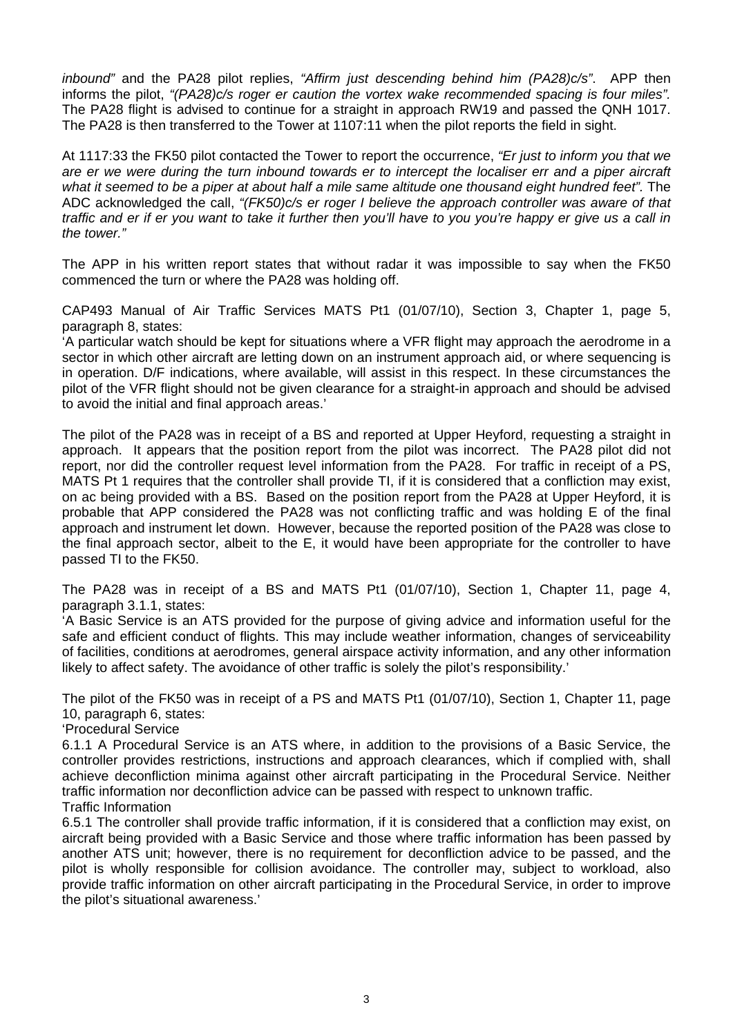*inbound"* and the PA28 pilot replies, *"Affirm just descending behind him (PA28)c/s"*. APP then informs the pilot, *"(PA28)c/s roger er caution the vortex wake recommended spacing is four miles".*  The PA28 flight is advised to continue for a straight in approach RW19 and passed the QNH 1017. The PA28 is then transferred to the Tower at 1107:11 when the pilot reports the field in sight.

At 1117:33 the FK50 pilot contacted the Tower to report the occurrence, *"Er just to inform you that we are er we were during the turn inbound towards er to intercept the localiser err and a piper aircraft*  what it seemed to be a piper at about half a mile same altitude one thousand eight hundred feet". The ADC acknowledged the call, *"(FK50)c/s er roger I believe the approach controller was aware of that traffic and er if er you want to take it further then you'll have to you you're happy er give us a call in the tower."* 

The APP in his written report states that without radar it was impossible to say when the FK50 commenced the turn or where the PA28 was holding off.

CAP493 Manual of Air Traffic Services MATS Pt1 (01/07/10), Section 3, Chapter 1, page 5, paragraph 8, states:

'A particular watch should be kept for situations where a VFR flight may approach the aerodrome in a sector in which other aircraft are letting down on an instrument approach aid, or where sequencing is in operation. D/F indications, where available, will assist in this respect. In these circumstances the pilot of the VFR flight should not be given clearance for a straight-in approach and should be advised to avoid the initial and final approach areas.'

The pilot of the PA28 was in receipt of a BS and reported at Upper Heyford, requesting a straight in approach. It appears that the position report from the pilot was incorrect. The PA28 pilot did not report, nor did the controller request level information from the PA28. For traffic in receipt of a PS, MATS Pt 1 requires that the controller shall provide TI, if it is considered that a confliction may exist, on ac being provided with a BS. Based on the position report from the PA28 at Upper Heyford, it is probable that APP considered the PA28 was not conflicting traffic and was holding E of the final approach and instrument let down. However, because the reported position of the PA28 was close to the final approach sector, albeit to the E, it would have been appropriate for the controller to have passed TI to the FK50.

The PA28 was in receipt of a BS and MATS Pt1 (01/07/10), Section 1, Chapter 11, page 4, paragraph 3.1.1, states:

'A Basic Service is an ATS provided for the purpose of giving advice and information useful for the safe and efficient conduct of flights. This may include weather information, changes of serviceability of facilities, conditions at aerodromes, general airspace activity information, and any other information likely to affect safety. The avoidance of other traffic is solely the pilot's responsibility.'

The pilot of the FK50 was in receipt of a PS and MATS Pt1 (01/07/10), Section 1, Chapter 11, page 10, paragraph 6, states:

'Procedural Service

6.1.1 A Procedural Service is an ATS where, in addition to the provisions of a Basic Service, the controller provides restrictions, instructions and approach clearances, which if complied with, shall achieve deconfliction minima against other aircraft participating in the Procedural Service. Neither traffic information nor deconfliction advice can be passed with respect to unknown traffic. Traffic Information

6.5.1 The controller shall provide traffic information, if it is considered that a confliction may exist, on aircraft being provided with a Basic Service and those where traffic information has been passed by another ATS unit; however, there is no requirement for deconfliction advice to be passed, and the pilot is wholly responsible for collision avoidance. The controller may, subject to workload, also provide traffic information on other aircraft participating in the Procedural Service, in order to improve the pilot's situational awareness.'